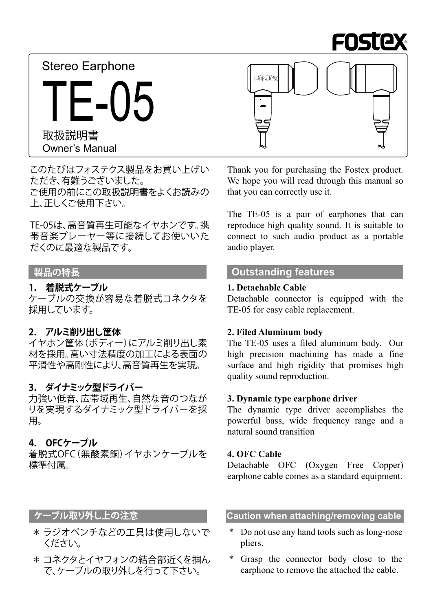

Owner's Manual 取扱説明書 Stereo Earphone TF-05



このたびはフォステクス製品をお買い上げい ただき、有難うございました。 ご使用の前にこの取扱説明書をよくお読みの 上、正しくご使用下さい。

TE-05は、高音質再生可能なイヤホンです。携 帯音楽プレーヤー等に接続してお使いいた だくのに最適な製品です。

### **着脱式ケーブル 1.**

ケーブルの交換が容易な着脱式コネクタを 採用しています。

## **アルミ削り出し筐体 2.**

イヤホン筐体(ボディー)にアルミ削り出し素 材を採用。高い寸法精度の加工による表面の 平滑性や高剛性により、高音質再生を実現。

### **ダイナミック型ドライバー 3.**

力強い低音、広帯域再生、自然な音のつなが りを実現するダイナミック型ドライバーを採 。用

#### **OFCケーブル 4.**

着脱式OFC(無酸素銅)イヤホンケーブルを 。標準付属

Thank you for purchasing the Fostex product. We hope you will read through this manual so that you can correctly use it.

The  $TE-05$  is a pair of earphones that can reproduce high quality sound. It is suitable to connect to such audio product as a portable audio player.

# **edual 製品の特長**

### **Cable Detachable 1.**

Detachable connector is equipped with the TE-05 for easy cable replacement.

### **2. Filed Aluminum body**

The TE-05 uses a filed aluminum body. Our high precision machining has made a fine surface and high rigidity that promises high quality sound reproduction.

#### **3.** Dynamic type earphone driver

The dynamic type driver accomplishes the powerful bass, wide frequency range and a natural sound transition

#### **4. OFC Cable**

Detachable OFC (Oxygen Free Copper) earphone cable comes as a standard equipment.

- \* ラジオペンチなどの工具は使用しないで 。ください
- \* コネクタとイヤフォンの結合部近くを掴ん で、ケーブルの取り外しを行って下さい。

# **caution when attaching/removing cable** cable cable cable cable

- Do not use any hand tools such as long-nose .pliers
- Grasp the connector body close to the earphone to remove the attached the cable.